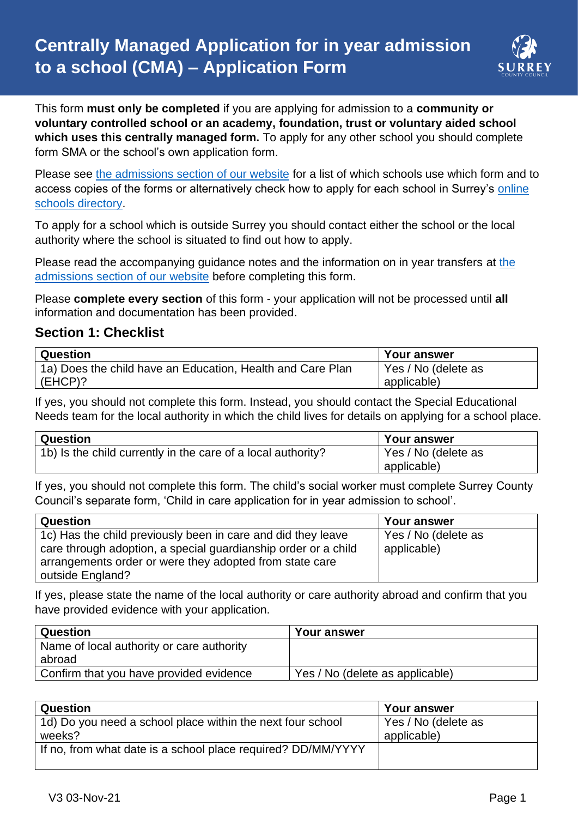

This form **must only be completed** if you are applying for admission to a **community or voluntary controlled school or an academy, foundation, trust or voluntary aided school which uses this centrally managed form.** To apply for any other school you should complete form SMA or the school's own application form.

Please see [the admissions section of our website](http://www.surreycc.gov.uk/admissions) for a list of which schools use which form and to access copies of the forms or alternatively check how to apply for each school in Surrey's [online](https://surreycc.gov.uk/schools)  [schools directory.](https://surreycc.gov.uk/schools)

To apply for a school which is outside Surrey you should contact either the school or the local authority where the school is situated to find out how to apply.

Please read [the](http://www.surreycc.gov.uk/admissions) accompanying guidance notes and the information on in year transfers at the [admissions section of our website](http://www.surreycc.gov.uk/admissions) before completing this form.

Please **complete every section** of this form - your application will not be processed until **all** information and documentation has been provided.

### **Section 1: Checklist**

| Question                                                   | Your answer         |
|------------------------------------------------------------|---------------------|
| 1a) Does the child have an Education, Health and Care Plan | Yes / No (delete as |
| $(EHCP)$ ?                                                 | applicable)         |

If yes, you should not complete this form. Instead, you should contact the Special Educational Needs team for the local authority in which the child lives for details on applying for a school place.

| Question                                                     | <b>Your answer</b>  |
|--------------------------------------------------------------|---------------------|
| 1b) Is the child currently in the care of a local authority? | Yes / No (delete as |
|                                                              | applicable)         |

If yes, you should not complete this form. The child's social worker must complete Surrey County Council's separate form, 'Child in care application for in year admission to school'.

| Question                                                                                                                                                                                                      | Your answer                        |
|---------------------------------------------------------------------------------------------------------------------------------------------------------------------------------------------------------------|------------------------------------|
| 1c) Has the child previously been in care and did they leave<br>care through adoption, a special guardianship order or a child<br>arrangements order or were they adopted from state care<br>outside England? | Yes / No (delete as<br>applicable) |

If yes, please state the name of the local authority or care authority abroad and confirm that you have provided evidence with your application.

| Question                                  | <b>Your answer</b>              |
|-------------------------------------------|---------------------------------|
| Name of local authority or care authority |                                 |
| abroad                                    |                                 |
| Confirm that you have provided evidence   | Yes / No (delete as applicable) |

| Question                                                     | Your answer         |
|--------------------------------------------------------------|---------------------|
| 1d) Do you need a school place within the next four school   | Yes / No (delete as |
| weeks?                                                       | applicable)         |
| If no, from what date is a school place required? DD/MM/YYYY |                     |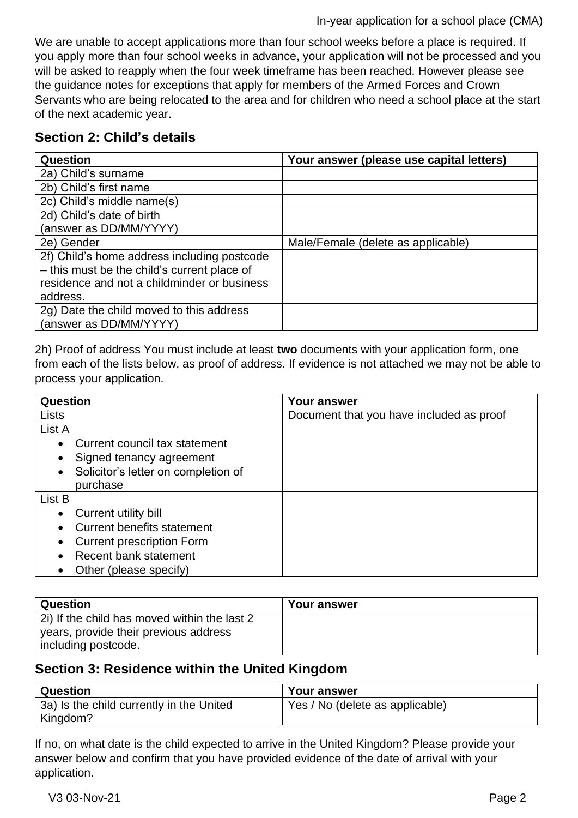#### In-year application for a school place (CMA)

We are unable to accept applications more than four school weeks before a place is required. If you apply more than four school weeks in advance, your application will not be processed and you will be asked to reapply when the four week timeframe has been reached. However please see the guidance notes for exceptions that apply for members of the Armed Forces and Crown Servants who are being relocated to the area and for children who need a school place at the start of the next academic year.

## **Section 2: Child's details**

| Question                                    | Your answer (please use capital letters) |
|---------------------------------------------|------------------------------------------|
| 2a) Child's surname                         |                                          |
| 2b) Child's first name                      |                                          |
| 2c) Child's middle name(s)                  |                                          |
| 2d) Child's date of birth                   |                                          |
| (answer as DD/MM/YYYY)                      |                                          |
| 2e) Gender                                  | Male/Female (delete as applicable)       |
| 2f) Child's home address including postcode |                                          |
| - this must be the child's current place of |                                          |
| residence and not a childminder or business |                                          |
| address.                                    |                                          |
| 2g) Date the child moved to this address    |                                          |
| (answer as DD/MM/YYYY)                      |                                          |

2h) Proof of address You must include at least **two** documents with your application form, one from each of the lists below, as proof of address. If evidence is not attached we may not be able to process your application.

| Question                                         | <b>Your answer</b>                       |
|--------------------------------------------------|------------------------------------------|
| Lists                                            | Document that you have included as proof |
| List A                                           |                                          |
| Current council tax statement<br>$\bullet$       |                                          |
| Signed tenancy agreement<br>$\bullet$            |                                          |
| Solicitor's letter on completion of<br>$\bullet$ |                                          |
| purchase                                         |                                          |
| List B                                           |                                          |
| Current utility bill<br>$\bullet$                |                                          |
| <b>Current benefits statement</b>                |                                          |
| <b>Current prescription Form</b><br>$\bullet$    |                                          |
| Recent bank statement                            |                                          |
| Other (please specify)                           |                                          |

| Question                                     | <b>Your answer</b> |
|----------------------------------------------|--------------------|
| 21) If the child has moved within the last 2 |                    |
| years, provide their previous address        |                    |
| including postcode.                          |                    |

# **Section 3: Residence within the United Kingdom**

| <b>Question</b>                          | <b>Your answer</b>              |
|------------------------------------------|---------------------------------|
| 3a) Is the child currently in the United | Yes / No (delete as applicable) |
| Kingdom?                                 |                                 |

If no, on what date is the child expected to arrive in the United Kingdom? Please provide your answer below and confirm that you have provided evidence of the date of arrival with your application.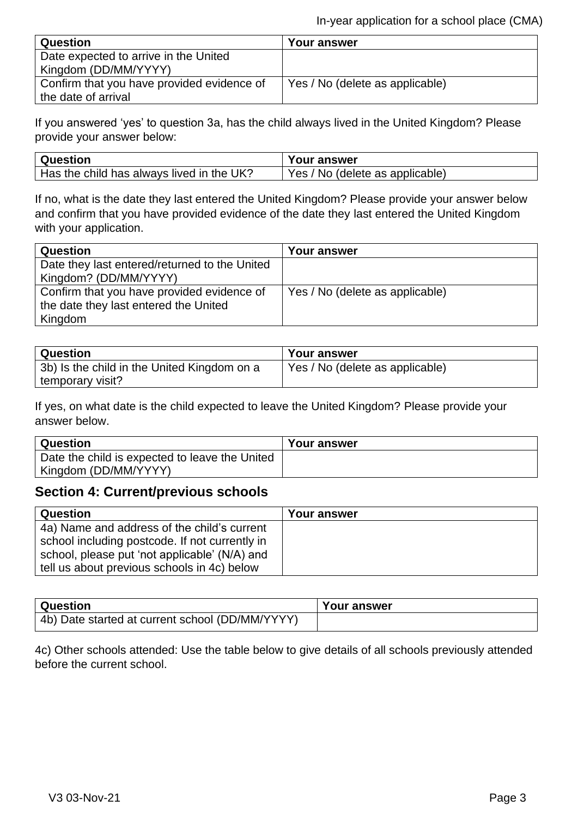| <b>Question</b>                            | Your answer                     |
|--------------------------------------------|---------------------------------|
| Date expected to arrive in the United      |                                 |
| Kingdom (DD/MM/YYYY)                       |                                 |
| Confirm that you have provided evidence of | Yes / No (delete as applicable) |
| the date of arrival                        |                                 |

If you answered 'yes' to question 3a, has the child always lived in the United Kingdom? Please provide your answer below:

| Question                                  | <b>Your answer</b>              |
|-------------------------------------------|---------------------------------|
| Has the child has always lived in the UK? | Yes / No (delete as applicable) |

If no, what is the date they last entered the United Kingdom? Please provide your answer below and confirm that you have provided evidence of the date they last entered the United Kingdom with your application.

| Question                                      | <b>Your answer</b>              |
|-----------------------------------------------|---------------------------------|
| Date they last entered/returned to the United |                                 |
| Kingdom? (DD/MM/YYYY)                         |                                 |
| Confirm that you have provided evidence of    | Yes / No (delete as applicable) |
| the date they last entered the United         |                                 |
| Kingdom                                       |                                 |

| Question                                     | <b>Your answer</b>              |
|----------------------------------------------|---------------------------------|
| (3b) Is the child in the United Kingdom on a | Yes / No (delete as applicable) |
| temporary visit?                             |                                 |

If yes, on what date is the child expected to leave the United Kingdom? Please provide your answer below.

| <b>Question</b>                                | <b>Your answer</b> |
|------------------------------------------------|--------------------|
| Date the child is expected to leave the United |                    |
| Kingdom (DD/MM/YYYY)                           |                    |

### **Section 4: Current/previous schools**

| Question                                       | Your answer |
|------------------------------------------------|-------------|
| 4a) Name and address of the child's current    |             |
| school including postcode. If not currently in |             |
| school, please put 'not applicable' (N/A) and  |             |
| tell us about previous schools in 4c) below    |             |

| <b>Question</b>                                 | Your answer |
|-------------------------------------------------|-------------|
| 4b) Date started at current school (DD/MM/YYYY) |             |

4c) Other schools attended: Use the table below to give details of all schools previously attended before the current school.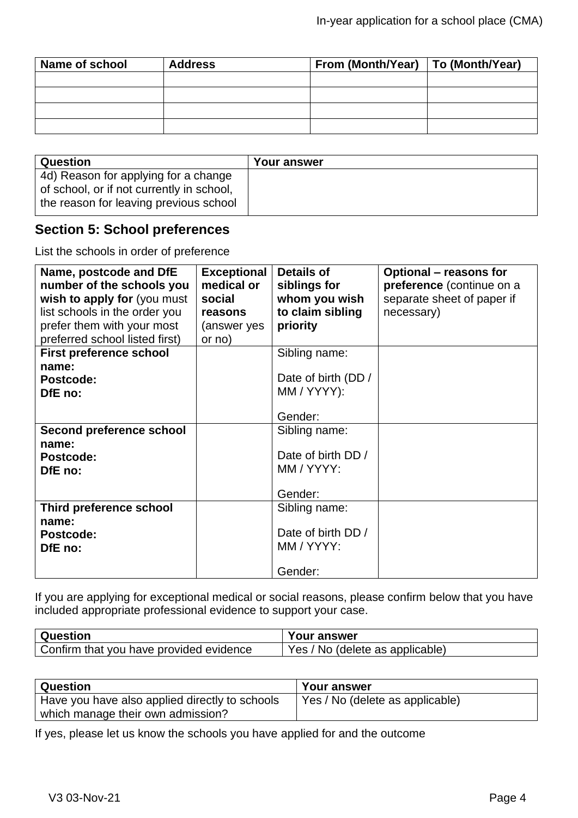| Name of school | <b>Address</b> | From (Month/Year)   To (Month/Year) |  |
|----------------|----------------|-------------------------------------|--|
|                |                |                                     |  |
|                |                |                                     |  |
|                |                |                                     |  |
|                |                |                                     |  |

| <b>Question</b>                                                                                                             | <b>Your answer</b> |
|-----------------------------------------------------------------------------------------------------------------------------|--------------------|
| 4d) Reason for applying for a change<br>of school, or if not currently in school,<br>the reason for leaving previous school |                    |

# **Section 5: School preferences**

List the schools in order of preference

| Name, postcode and DfE<br>number of the schools you<br>wish to apply for (you must<br>list schools in the order you | <b>Exceptional</b><br>medical or<br>social<br>reasons | <b>Details of</b><br>siblings for<br>whom you wish<br>to claim sibling | <b>Optional – reasons for</b><br>preference (continue on a<br>separate sheet of paper if<br>necessary) |
|---------------------------------------------------------------------------------------------------------------------|-------------------------------------------------------|------------------------------------------------------------------------|--------------------------------------------------------------------------------------------------------|
| prefer them with your most                                                                                          | (answer yes                                           | priority                                                               |                                                                                                        |
| preferred school listed first)                                                                                      | or no)                                                |                                                                        |                                                                                                        |
| <b>First preference school</b>                                                                                      |                                                       | Sibling name:                                                          |                                                                                                        |
| name:                                                                                                               |                                                       |                                                                        |                                                                                                        |
| <b>Postcode:</b>                                                                                                    |                                                       | Date of birth (DD /                                                    |                                                                                                        |
| DfE no:                                                                                                             |                                                       | MM / YYYY):                                                            |                                                                                                        |
|                                                                                                                     |                                                       |                                                                        |                                                                                                        |
|                                                                                                                     |                                                       | Gender:                                                                |                                                                                                        |
| <b>Second preference school</b>                                                                                     |                                                       | Sibling name:                                                          |                                                                                                        |
| name:                                                                                                               |                                                       |                                                                        |                                                                                                        |
| Postcode:                                                                                                           |                                                       | Date of birth DD /                                                     |                                                                                                        |
| DfE no:                                                                                                             |                                                       | MM / YYYY:                                                             |                                                                                                        |
|                                                                                                                     |                                                       |                                                                        |                                                                                                        |
|                                                                                                                     |                                                       | Gender:                                                                |                                                                                                        |
| Third preference school<br>name:                                                                                    |                                                       | Sibling name:                                                          |                                                                                                        |
| Postcode:                                                                                                           |                                                       | Date of birth DD /                                                     |                                                                                                        |
| DfE no:                                                                                                             |                                                       | MM / YYYY:                                                             |                                                                                                        |
|                                                                                                                     |                                                       |                                                                        |                                                                                                        |
|                                                                                                                     |                                                       | Gender:                                                                |                                                                                                        |

If you are applying for exceptional medical or social reasons, please confirm below that you have included appropriate professional evidence to support your case.

| Question                                | <b>Your answer</b>              |
|-----------------------------------------|---------------------------------|
| Confirm that you have provided evidence | Yes / No (delete as applicable) |

| <b>↓Question</b>                               | Your answer                     |
|------------------------------------------------|---------------------------------|
| Have you have also applied directly to schools | Yes / No (delete as applicable) |
| which manage their own admission?              |                                 |

If yes, please let us know the schools you have applied for and the outcome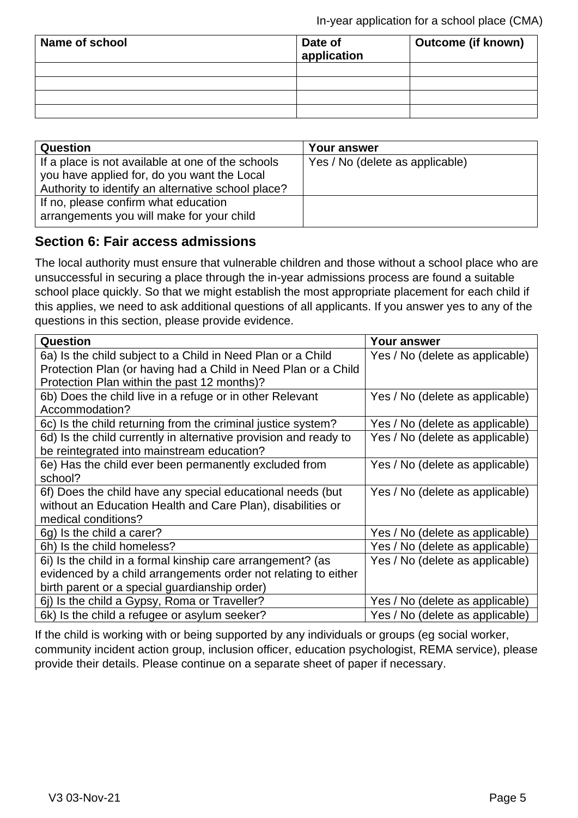| Name of school | Date of<br>application | <b>Outcome (if known)</b> |
|----------------|------------------------|---------------------------|
|                |                        |                           |
|                |                        |                           |
|                |                        |                           |
|                |                        |                           |

| Question                                                                                                                                               | Your answer                     |
|--------------------------------------------------------------------------------------------------------------------------------------------------------|---------------------------------|
| If a place is not available at one of the schools<br>you have applied for, do you want the Local<br>Authority to identify an alternative school place? | Yes / No (delete as applicable) |
| If no, please confirm what education<br>arrangements you will make for your child                                                                      |                                 |

## **Section 6: Fair access admissions**

The local authority must ensure that vulnerable children and those without a school place who are unsuccessful in securing a place through the in-year admissions process are found a suitable school place quickly. So that we might establish the most appropriate placement for each child if this applies, we need to ask additional questions of all applicants. If you answer yes to any of the questions in this section, please provide evidence.

| Question                                                         | Your answer                     |
|------------------------------------------------------------------|---------------------------------|
| 6a) Is the child subject to a Child in Need Plan or a Child      | Yes / No (delete as applicable) |
| Protection Plan (or having had a Child in Need Plan or a Child   |                                 |
| Protection Plan within the past 12 months)?                      |                                 |
| 6b) Does the child live in a refuge or in other Relevant         | Yes / No (delete as applicable) |
| Accommodation?                                                   |                                 |
| 6c) Is the child returning from the criminal justice system?     | Yes / No (delete as applicable) |
| 6d) Is the child currently in alternative provision and ready to | Yes / No (delete as applicable) |
| be reintegrated into mainstream education?                       |                                 |
| 6e) Has the child ever been permanently excluded from            | Yes / No (delete as applicable) |
| school?                                                          |                                 |
| 6f) Does the child have any special educational needs (but       | Yes / No (delete as applicable) |
| without an Education Health and Care Plan), disabilities or      |                                 |
| medical conditions?                                              |                                 |
| 6g) Is the child a carer?                                        | Yes / No (delete as applicable) |
| 6h) Is the child homeless?                                       | Yes / No (delete as applicable) |
| 6i) Is the child in a formal kinship care arrangement? (as       | Yes / No (delete as applicable) |
| evidenced by a child arrangements order not relating to either   |                                 |
| birth parent or a special guardianship order)                    |                                 |
| 6j) Is the child a Gypsy, Roma or Traveller?                     | Yes / No (delete as applicable) |
| 6k) Is the child a refugee or asylum seeker?                     | Yes / No (delete as applicable) |

If the child is working with or being supported by any individuals or groups (eg social worker, community incident action group, inclusion officer, education psychologist, REMA service), please provide their details. Please continue on a separate sheet of paper if necessary.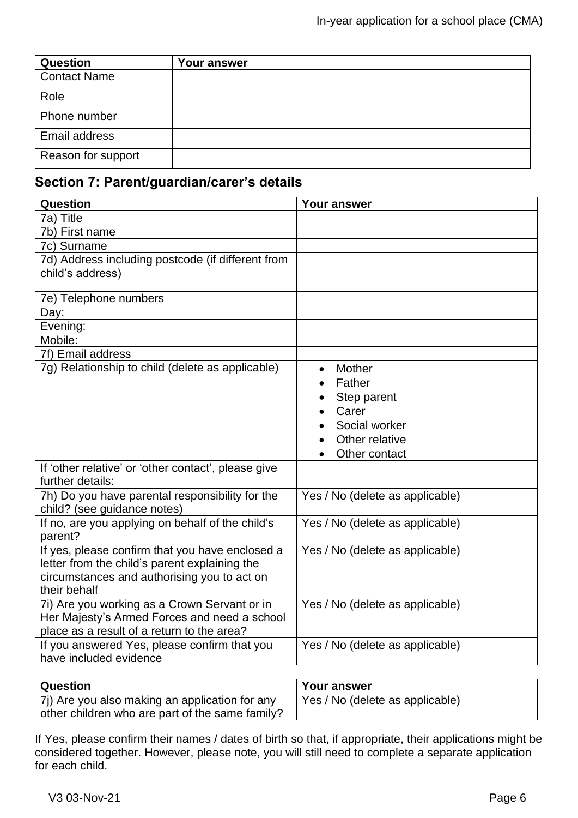| <b>Question</b>     | Your answer |
|---------------------|-------------|
| <b>Contact Name</b> |             |
| Role                |             |
| Phone number        |             |
| Email address       |             |
| Reason for support  |             |

# **Section 7: Parent/guardian/carer's details**

| Question                                                                                                                                                        | <b>Your answer</b>                                                                           |
|-----------------------------------------------------------------------------------------------------------------------------------------------------------------|----------------------------------------------------------------------------------------------|
| 7a) Title                                                                                                                                                       |                                                                                              |
| 7b) First name                                                                                                                                                  |                                                                                              |
| 7c) Surname                                                                                                                                                     |                                                                                              |
| 7d) Address including postcode (if different from<br>child's address)                                                                                           |                                                                                              |
| 7e) Telephone numbers                                                                                                                                           |                                                                                              |
| Day:                                                                                                                                                            |                                                                                              |
| Evening:                                                                                                                                                        |                                                                                              |
| Mobile:                                                                                                                                                         |                                                                                              |
| 7f) Email address                                                                                                                                               |                                                                                              |
| 7g) Relationship to child (delete as applicable)                                                                                                                | Mother<br>Father<br>Step parent<br>Carer<br>Social worker<br>Other relative<br>Other contact |
| If 'other relative' or 'other contact', please give<br>further details:                                                                                         |                                                                                              |
| 7h) Do you have parental responsibility for the<br>child? (see guidance notes)                                                                                  | Yes / No (delete as applicable)                                                              |
| If no, are you applying on behalf of the child's<br>parent?                                                                                                     | Yes / No (delete as applicable)                                                              |
| If yes, please confirm that you have enclosed a<br>letter from the child's parent explaining the<br>circumstances and authorising you to act on<br>their behalf | Yes / No (delete as applicable)                                                              |
| 7i) Are you working as a Crown Servant or in<br>Her Majesty's Armed Forces and need a school<br>place as a result of a return to the area?                      | Yes / No (delete as applicable)                                                              |
| If you answered Yes, please confirm that you<br>have included evidence                                                                                          | Yes / No (delete as applicable)                                                              |

| Question                                        | Your answer                     |
|-------------------------------------------------|---------------------------------|
| 7i) Are you also making an application for any  | Yes / No (delete as applicable) |
| other children who are part of the same family? |                                 |

If Yes, please confirm their names / dates of birth so that, if appropriate, their applications might be considered together. However, please note, you will still need to complete a separate application for each child.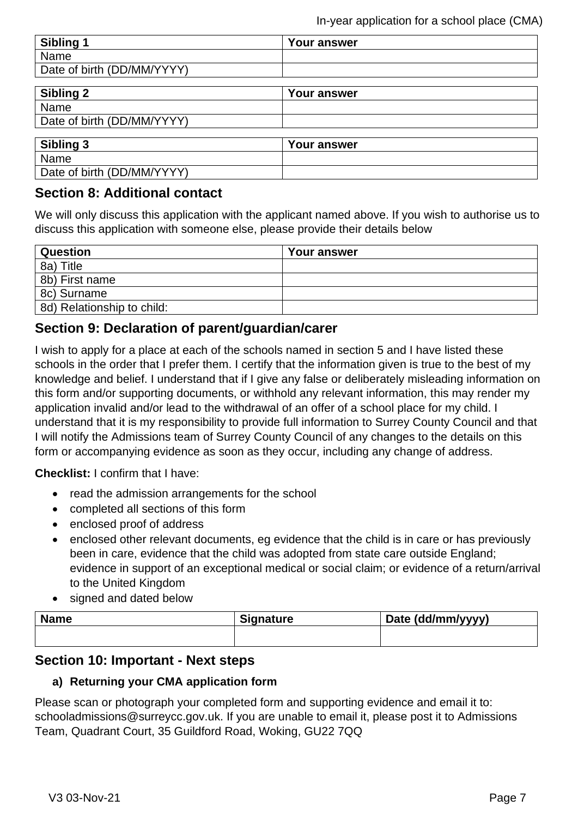| Sibling 1                  | Your answer        |  |
|----------------------------|--------------------|--|
| Name                       |                    |  |
| Date of birth (DD/MM/YYYY) |                    |  |
|                            |                    |  |
| Sibling 2                  | Your answer        |  |
| Name                       |                    |  |
| Date of birth (DD/MM/YYYY) |                    |  |
|                            |                    |  |
| <b>Sibling 3</b>           | <b>Your answer</b> |  |
| Name                       |                    |  |
| Date of birth (DD/MM/YYYY) |                    |  |

# **Section 8: Additional contact**

We will only discuss this application with the applicant named above. If you wish to authorise us to discuss this application with someone else, please provide their details below

| Question                   | Your answer |
|----------------------------|-------------|
| 8a) Title                  |             |
| 8b) First name             |             |
| 8c) Surname                |             |
| 8d) Relationship to child: |             |

# **Section 9: Declaration of parent/guardian/carer**

I wish to apply for a place at each of the schools named in section 5 and I have listed these schools in the order that I prefer them. I certify that the information given is true to the best of my knowledge and belief. I understand that if I give any false or deliberately misleading information on this form and/or supporting documents, or withhold any relevant information, this may render my application invalid and/or lead to the withdrawal of an offer of a school place for my child. I understand that it is my responsibility to provide full information to Surrey County Council and that I will notify the Admissions team of Surrey County Council of any changes to the details on this form or accompanying evidence as soon as they occur, including any change of address.

**Checklist:** I confirm that I have:

- read the admission arrangements for the school
- completed all sections of this form
- enclosed proof of address
- enclosed other relevant documents, eg evidence that the child is in care or has previously been in care, evidence that the child was adopted from state care outside England; evidence in support of an exceptional medical or social claim; or evidence of a return/arrival to the United Kingdom
- signed and dated below

| <b>Name</b> | <b>Signature</b> | Date (dd/mm/yyyy) |
|-------------|------------------|-------------------|
|             |                  |                   |

### **Section 10: Important - Next steps**

#### **a) Returning your CMA application form**

Please scan or photograph your completed form and supporting evidence and email it to: schooladmissions@surreycc.gov.uk. If you are unable to email it, please post it to Admissions Team, Quadrant Court, 35 Guildford Road, Woking, GU22 7QQ